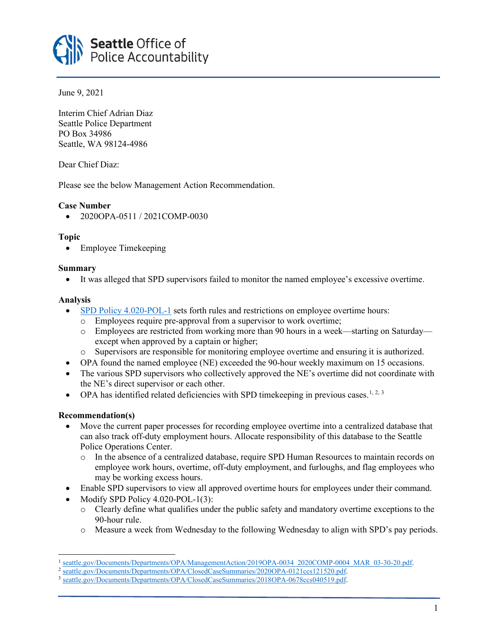

June 9, 2021

Interim Chief Adrian Diaz Seattle Police Department PO Box 34986 Seattle, WA 98124-4986

Dear Chief Diaz:

Please see the below Management Action Recommendation.

# **Case Number**

• 2020OPA-0511 / 2021COMP-0030

## **Topic**

• Employee Timekeeping

## **Summary**

• It was alleged that SPD supervisors failed to monitor the named employee's excessive overtime.

## **Analysis**

- [SPD Policy 4.020-POL-1](https://www.seattle.gov/police-manual/title-4---human-resources/4020---reporting-and-recording-overtime/out-of-classification-pay) sets forth rules and restrictions on employee overtime hours:
	- o Employees require pre-approval from a supervisor to work overtime;
	- o Employees are restricted from working more than 90 hours in a week—starting on Saturday except when approved by a captain or higher;
	- o Supervisors are responsible for monitoring employee overtime and ensuring it is authorized.
- OPA found the named employee (NE) exceeded the 90-hour weekly maximum on 15 occasions.
- The various SPD supervisors who collectively approved the NE's overtime did not coordinate with the NE's direct supervisor or each other.
- OPA has identified related deficiencies with SPD timekeeping in previous cases.<sup>[1](#page-0-0), [2,](#page-0-1) [3](#page-0-2)</sup>

## **Recommendation(s)**

- Move the current paper processes for recording employee overtime into a centralized database that can also track off-duty employment hours. Allocate responsibility of this database to the Seattle Police Operations Center.
	- o In the absence of a centralized database, require SPD Human Resources to maintain records on employee work hours, overtime, off-duty employment, and furloughs, and flag employees who may be working excess hours.
- Enable SPD supervisors to view all approved overtime hours for employees under their command.
- Modify SPD Policy 4.020-POL-1(3):
	- o Clearly define what qualifies under the public safety and mandatory overtime exceptions to the 90-hour rule.
	- o Measure a week from Wednesday to the following Wednesday to align with SPD's pay periods.

<span id="page-0-0"></span>[seattle.gov/Documents/Departments/OPA/ManagementAction/2019OPA-0034\\_2020COMP-0004\\_MAR\\_03-30-20.pdf.](https://www.seattle.gov/Documents/Departments/OPA/ManagementAction/2019OPA-0034_2020COMP-0004_MAR_03-30-20.pdf)

<span id="page-0-1"></span><sup>2</sup> [seattle.gov/Documents/Departments/OPA/ClosedCaseSummaries/2020OPA-0121ccs121520.pdf.](https://www.seattle.gov/Documents/Departments/OPA/ClosedCaseSummaries/2020OPA-0121ccs121520.pdf)

<span id="page-0-2"></span><sup>3</sup> [seattle.gov/Documents/Departments/OPA/ClosedCaseSummaries/2018OPA-0678ccs040519.pdf.](https://www.seattle.gov/Documents/Departments/OPA/ClosedCaseSummaries/2018OPA-0678ccs040519.pdf)